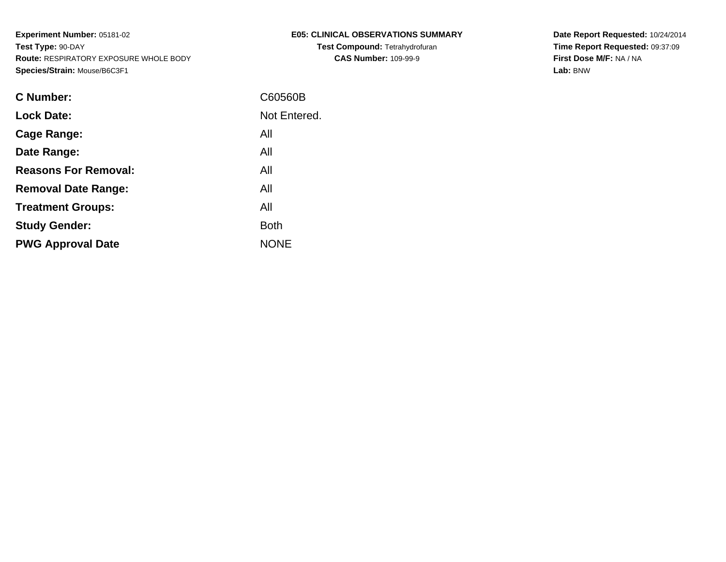| E05: CLINICAL OBSERVATIONS SUMMARY    |
|---------------------------------------|
| <b>Test Compound: Tetrahydrofuran</b> |
| <b>CAS Number: 109-99-9</b>           |

**Date Report Requested:** 10/24/2014 **Time Report Requested:** 09:37:09**First Dose M/F:** NA / NA**Lab:** BNW

| C Number:                   | C60560B      |
|-----------------------------|--------------|
| <b>Lock Date:</b>           | Not Entered. |
| Cage Range:                 | All          |
| Date Range:                 | All          |
| <b>Reasons For Removal:</b> | All          |
| <b>Removal Date Range:</b>  | All          |
| <b>Treatment Groups:</b>    | All          |
| <b>Study Gender:</b>        | <b>Both</b>  |
| <b>PWG Approval Date</b>    | <b>NONE</b>  |
|                             |              |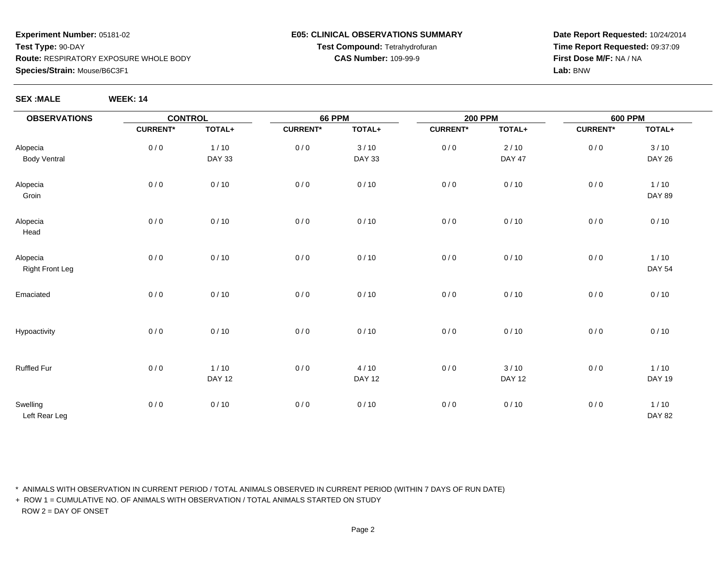### **E05: CLINICAL OBSERVATIONS SUMMARYTest Compound:** Tetrahydrofuran**CAS Number:** 109-99-9

**Date Report Requested:** 10/24/2014**Time Report Requested:** 09:37:09**First Dose M/F:** NA / NA**Lab:** BNW

| <b>SEX :MALE</b> | <b>WEEK: 14</b> |
|------------------|-----------------|

| <b>OBSERVATIONS</b>                | <b>CONTROL</b>  |                         | <b>66 PPM</b>   |                       | <b>200 PPM</b>  |                         | <b>600 PPM</b>  |                         |
|------------------------------------|-----------------|-------------------------|-----------------|-----------------------|-----------------|-------------------------|-----------------|-------------------------|
|                                    | <b>CURRENT*</b> | TOTAL+                  | <b>CURRENT*</b> | TOTAL+                | <b>CURRENT*</b> | TOTAL+                  | <b>CURRENT*</b> | TOTAL+                  |
| Alopecia<br><b>Body Ventral</b>    | 0/0             | $1/10$<br><b>DAY 33</b> | $0/0$           | 3/10<br><b>DAY 33</b> | $0/0$           | $2/10$<br><b>DAY 47</b> | 0/0             | 3/10<br><b>DAY 26</b>   |
| Alopecia<br>Groin                  | 0/0             | 0/10                    | 0/0             | 0/10                  | $0/0$           | 0/10                    | 0/0             | $1/10$<br><b>DAY 89</b> |
| Alopecia<br>Head                   | 0/0             | 0/10                    | 0/0             | 0/10                  | $0/0$           | 0/10                    | 0/0             | 0/10                    |
| Alopecia<br><b>Right Front Leg</b> | 0/0             | 0/10                    | 0/0             | 0/10                  | 0/0             | 0/10                    | 0/0             | $1/10$<br><b>DAY 54</b> |
| Emaciated                          | 0/0             | 0/10                    | 0/0             | 0/10                  | 0/0             | 0/10                    | 0/0             | 0/10                    |
| Hypoactivity                       | 0/0             | 0/10                    | 0/0             | 0/10                  | 0/0             | 0/10                    | 0/0             | 0/10                    |
| Ruffled Fur                        | 0/0             | $1/10$<br><b>DAY 12</b> | 0/0             | 4/10<br><b>DAY 12</b> | 0/0             | 3/10<br><b>DAY 12</b>   | 0/0             | $1/10$<br><b>DAY 19</b> |
| Swelling<br>Left Rear Leg          | 0/0             | 0/10                    | 0/0             | 0/10                  | 0/0             | 0/10                    | 0/0             | $1/10$<br><b>DAY 82</b> |

\* ANIMALS WITH OBSERVATION IN CURRENT PERIOD / TOTAL ANIMALS OBSERVED IN CURRENT PERIOD (WITHIN 7 DAYS OF RUN DATE)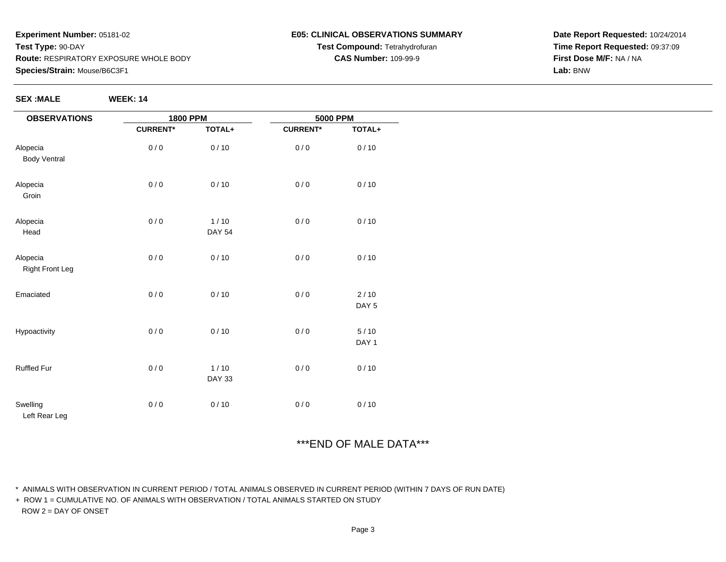#### **E05: CLINICAL OBSERVATIONS SUMMARYTest Compound:** Tetrahydrofuran**CAS Number:** 109-99-9

**Date Report Requested:** 10/24/2014**Time Report Requested:** 09:37:09**First Dose M/F:** NA / NA**Lab:** BNW

**SEX :MALE WEEK: 14**

| <b>OBSERVATIONS</b>                | <b>1800 PPM</b> |                         | 5000 PPM        |                 |
|------------------------------------|-----------------|-------------------------|-----------------|-----------------|
|                                    | <b>CURRENT*</b> | TOTAL+                  | <b>CURRENT*</b> | TOTAL+          |
| Alopecia<br>Body Ventral           | 0/0             | 0/10                    | 0/0             | 0/10            |
| Alopecia<br>Groin                  | 0/0             | 0/10                    | 0/0             | 0/10            |
| Alopecia<br>Head                   | 0/0             | 1/10<br><b>DAY 54</b>   | 0/0             | 0/10            |
| Alopecia<br><b>Right Front Leg</b> | 0/0             | 0/10                    | 0/0             | 0/10            |
| Emaciated                          | 0/0             | 0/10                    | 0/0             | 2/10<br>DAY 5   |
| Hypoactivity                       | 0/0             | 0/10                    | 0/0             | $5/10$<br>DAY 1 |
| Ruffled Fur                        | 0/0             | $1/10$<br><b>DAY 33</b> | 0/0             | 0/10            |
| Swelling<br>Left Rear Leg          | 0/0             | 0/10                    | 0/0             | 0/10            |

# \*\*\*END OF MALE DATA\*\*\*

\* ANIMALS WITH OBSERVATION IN CURRENT PERIOD / TOTAL ANIMALS OBSERVED IN CURRENT PERIOD (WITHIN 7 DAYS OF RUN DATE)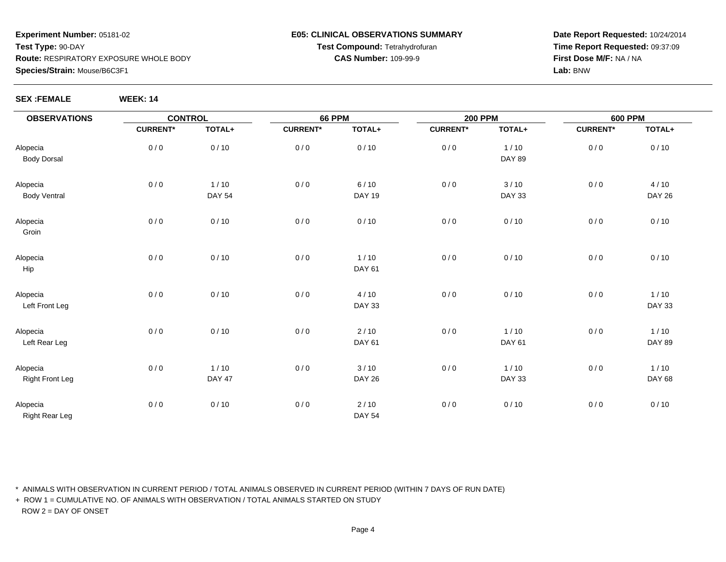#### **E05: CLINICAL OBSERVATIONS SUMMARYTest Compound:** Tetrahydrofuran**CAS Number:** 109-99-9

**Date Report Requested:** 10/24/2014**Time Report Requested:** 09:37:09**First Dose M/F:** NA / NA**Lab:** BNW

**SEX :FEMALE WEEK: 14**

| <b>OBSERVATIONS</b>                | <b>CONTROL</b>  |                         | <b>66 PPM</b>   |                       | <b>200 PPM</b>  |                       | <b>600 PPM</b>  |                         |
|------------------------------------|-----------------|-------------------------|-----------------|-----------------------|-----------------|-----------------------|-----------------|-------------------------|
|                                    | <b>CURRENT*</b> | TOTAL+                  | <b>CURRENT*</b> | TOTAL+                | <b>CURRENT*</b> | TOTAL+                | <b>CURRENT*</b> | TOTAL+                  |
| Alopecia<br><b>Body Dorsal</b>     | 0/0             | 0/10                    | 0/0             | 0/10                  | 0/0             | 1/10<br><b>DAY 89</b> | 0/0             | 0/10                    |
| Alopecia<br><b>Body Ventral</b>    | 0/0             | 1/10<br><b>DAY 54</b>   | 0/0             | 6/10<br><b>DAY 19</b> | 0/0             | 3/10<br><b>DAY 33</b> | 0/0             | 4/10<br><b>DAY 26</b>   |
| Alopecia<br>Groin                  | 0/0             | 0/10                    | 0/0             | 0/10                  | 0/0             | 0/10                  | 0/0             | 0/10                    |
| Alopecia<br>Hip                    | 0/0             | 0/10                    | 0/0             | 1/10<br>DAY 61        | 0/0             | 0/10                  | 0/0             | 0/10                    |
| Alopecia<br>Left Front Leg         | 0/0             | 0/10                    | 0/0             | 4/10<br><b>DAY 33</b> | 0/0             | 0/10                  | 0/0             | $1/10$<br><b>DAY 33</b> |
| Alopecia<br>Left Rear Leg          | 0/0             | 0/10                    | 0/0             | 2/10<br><b>DAY 61</b> | 0/0             | 1/10<br><b>DAY 61</b> | 0/0             | $1/10$<br><b>DAY 89</b> |
| Alopecia<br><b>Right Front Leg</b> | 0/0             | $1/10$<br><b>DAY 47</b> | 0/0             | 3/10<br><b>DAY 26</b> | 0/0             | 1/10<br><b>DAY 33</b> | 0/0             | $1/10$<br><b>DAY 68</b> |
| Alopecia<br><b>Right Rear Leg</b>  | 0/0             | 0/10                    | 0/0             | 2/10<br><b>DAY 54</b> | 0/0             | 0/10                  | 0/0             | 0/10                    |

\* ANIMALS WITH OBSERVATION IN CURRENT PERIOD / TOTAL ANIMALS OBSERVED IN CURRENT PERIOD (WITHIN 7 DAYS OF RUN DATE)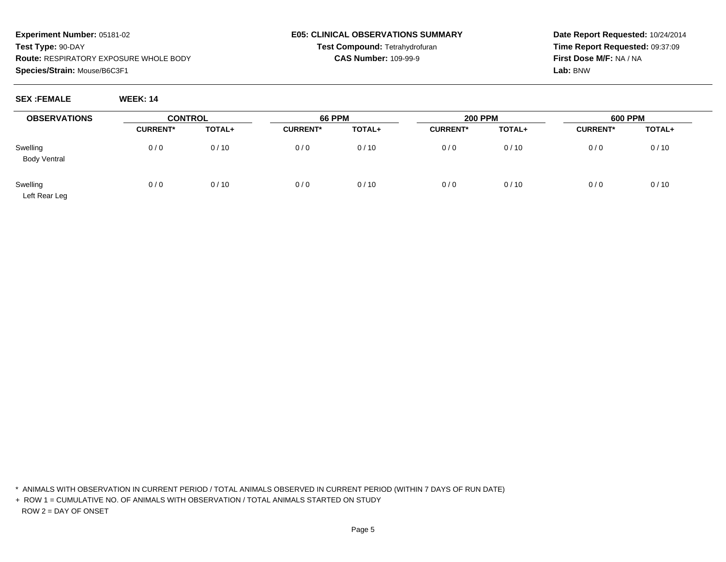**Date Report Requested:** 10/24/2014**Time Report Requested:** 09:37:09**First Dose M/F:** NA / NA**Lab:** BNW

**SEX :FEMALE WEEK: 14**

| <b>OBSERVATIONS</b>             | <b>CONTROL</b>  |        | <b>66 PPM</b>   |        | <b>200 PPM</b>  |        | <b>600 PPM</b>  |        |
|---------------------------------|-----------------|--------|-----------------|--------|-----------------|--------|-----------------|--------|
|                                 | <b>CURRENT*</b> | TOTAL+ | <b>CURRENT*</b> | TOTAL+ | <b>CURRENT*</b> | TOTAL+ | <b>CURRENT*</b> | TOTAL+ |
| Swelling<br><b>Body Ventral</b> | 0/0             | 0/10   | 0/0             | 0/10   | 0/0             | 0/10   | 0/0             | 0/10   |
| Swelling<br>Left Rear Leg       | 0/0             | 0/10   | 0/0             | 0/10   | 0/0             | 0/10   | 0/0             | 0/10   |

\* ANIMALS WITH OBSERVATION IN CURRENT PERIOD / TOTAL ANIMALS OBSERVED IN CURRENT PERIOD (WITHIN 7 DAYS OF RUN DATE)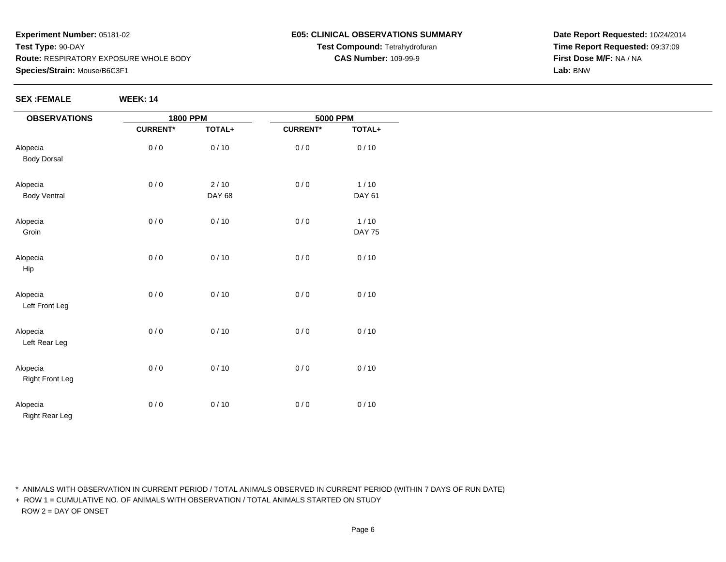#### **E05: CLINICAL OBSERVATIONS SUMMARYTest Compound:** Tetrahydrofuran**CAS Number:** 109-99-9

**Date Report Requested:** 10/24/2014**Time Report Requested:** 09:37:09**First Dose M/F:** NA / NA**Lab:** BNW

| <b>OBSERVATIONS</b>                |                 | <b>1800 PPM</b>         |                 | <b>5000 PPM</b>         |  |
|------------------------------------|-----------------|-------------------------|-----------------|-------------------------|--|
|                                    | <b>CURRENT*</b> | TOTAL+                  | <b>CURRENT*</b> | TOTAL+                  |  |
| Alopecia<br><b>Body Dorsal</b>     | 0/0             | 0/10                    | 0/0             | 0/10                    |  |
| Alopecia<br><b>Body Ventral</b>    | 0/0             | $2/10$<br><b>DAY 68</b> | 0/0             | $1/10$<br>DAY 61        |  |
| Alopecia<br>Groin                  | 0/0             | 0/10                    | 0/0             | $1/10$<br><b>DAY 75</b> |  |
| Alopecia<br>Hip                    | 0/0             | 0/10                    | 0/0             | 0/10                    |  |
| Alopecia<br>Left Front Leg         | 0/0             | 0/10                    | 0/0             | 0/10                    |  |
| Alopecia<br>Left Rear Leg          | 0/0             | $0/10$                  | 0/0             | 0/10                    |  |
| Alopecia<br><b>Right Front Leg</b> | 0/0             | 0/10                    | 0/0             | 0/10                    |  |
| Alopecia<br><b>Right Rear Leg</b>  | 0/0             | $0/10$                  | 0/0             | 0/10                    |  |

\* ANIMALS WITH OBSERVATION IN CURRENT PERIOD / TOTAL ANIMALS OBSERVED IN CURRENT PERIOD (WITHIN 7 DAYS OF RUN DATE)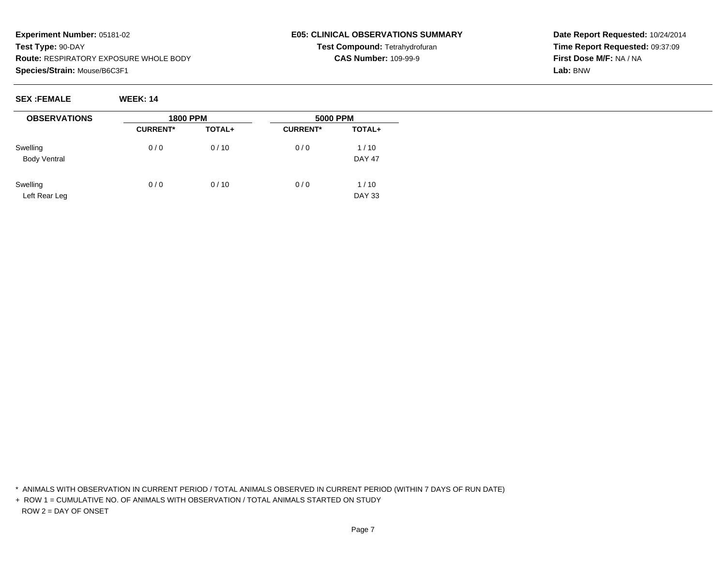### **E05: CLINICAL OBSERVATIONS SUMMARYTest Compound:** Tetrahydrofuran**CAS Number:** 109-99-9

**Date Report Requested:** 10/24/2014**Time Report Requested:** 09:37:09**First Dose M/F:** NA / NA**Lab:** BNW

**SEX :FEMALE WEEK: 14**

| <b>OBSERVATIONS</b>             | <b>1800 PPM</b> |        | <b>5000 PPM</b> |                       |  |
|---------------------------------|-----------------|--------|-----------------|-----------------------|--|
|                                 | <b>CURRENT*</b> | TOTAL+ | <b>CURRENT*</b> | TOTAL+                |  |
| Swelling<br><b>Body Ventral</b> | 0/0             | 0/10   | 0/0             | 1/10<br><b>DAY 47</b> |  |
| Swelling<br>Left Rear Leg       | 0/0             | 0/10   | 0/0             | 1/10<br><b>DAY 33</b> |  |

\* ANIMALS WITH OBSERVATION IN CURRENT PERIOD / TOTAL ANIMALS OBSERVED IN CURRENT PERIOD (WITHIN 7 DAYS OF RUN DATE)